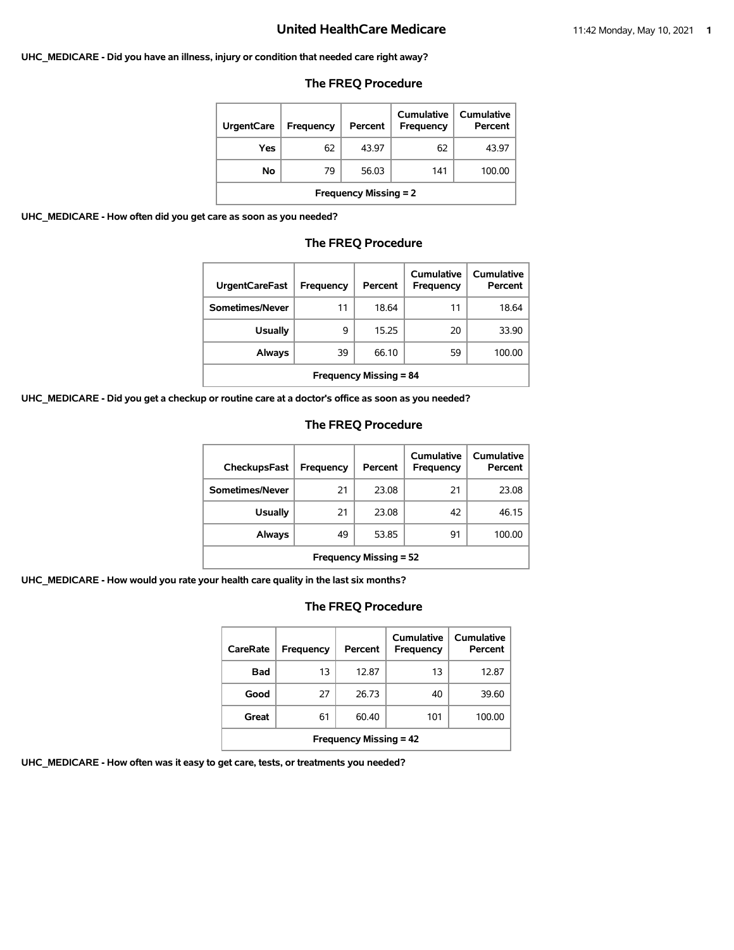#### **UHC\_MEDICARE - Did you have an illness, injury or condition that needed care right away?**

#### **The FREQ Procedure**

| <b>UrgentCare</b>            | Frequency | Percent | Cumulative<br>Frequency | Cumulative<br>Percent |  |
|------------------------------|-----------|---------|-------------------------|-----------------------|--|
| Yes                          | 62        | 43.97   | 62                      | 43.97                 |  |
| Νo                           | 79        | 56.03   | 141                     | 100.00                |  |
| <b>Frequency Missing = 2</b> |           |         |                         |                       |  |

**UHC\_MEDICARE - How often did you get care as soon as you needed?**

#### **The FREQ Procedure**

| <b>UrgentCareFast</b>         | Frequency | Percent | Cumulative<br>Frequency | Cumulative<br>Percent |  |
|-------------------------------|-----------|---------|-------------------------|-----------------------|--|
| Sometimes/Never               | 11        | 18.64   | 11                      | 18.64                 |  |
| <b>Usually</b>                | 9         | 15.25   | 20                      | 33.90                 |  |
| Always                        | 39        | 66.10   | 59                      | 100.00                |  |
| <b>Frequency Missing = 84</b> |           |         |                         |                       |  |

**UHC\_MEDICARE - Did you get a checkup or routine care at a doctor's office as soon as you needed?**

#### **The FREQ Procedure**

| CheckupsFast                  | Frequency | Percent | Cumulative<br>Frequency | Cumulative<br>Percent |
|-------------------------------|-----------|---------|-------------------------|-----------------------|
| Sometimes/Never               | 21        | 23.08   | 21                      | 23.08                 |
| <b>Usually</b>                | 21        | 23.08   | 42                      | 46.15                 |
| Always                        | 49        | 53.85   | 91                      | 100.00                |
| <b>Frequency Missing = 52</b> |           |         |                         |                       |

**UHC\_MEDICARE - How would you rate your health care quality in the last six months?**

# **The FREQ Procedure**

| CareRate                      | Frequency | Percent | Cumulative<br>Frequency | Cumulative<br>Percent |  |
|-------------------------------|-----------|---------|-------------------------|-----------------------|--|
| Bad                           | 13        | 12.87   | 13                      | 12.87                 |  |
| Good                          | 27        | 26.73   | 40                      | 39.60                 |  |
| Great                         | 61        | 60.40   | 101                     | 100.00                |  |
| <b>Frequency Missing = 42</b> |           |         |                         |                       |  |

**UHC\_MEDICARE - How often was it easy to get care, tests, or treatments you needed?**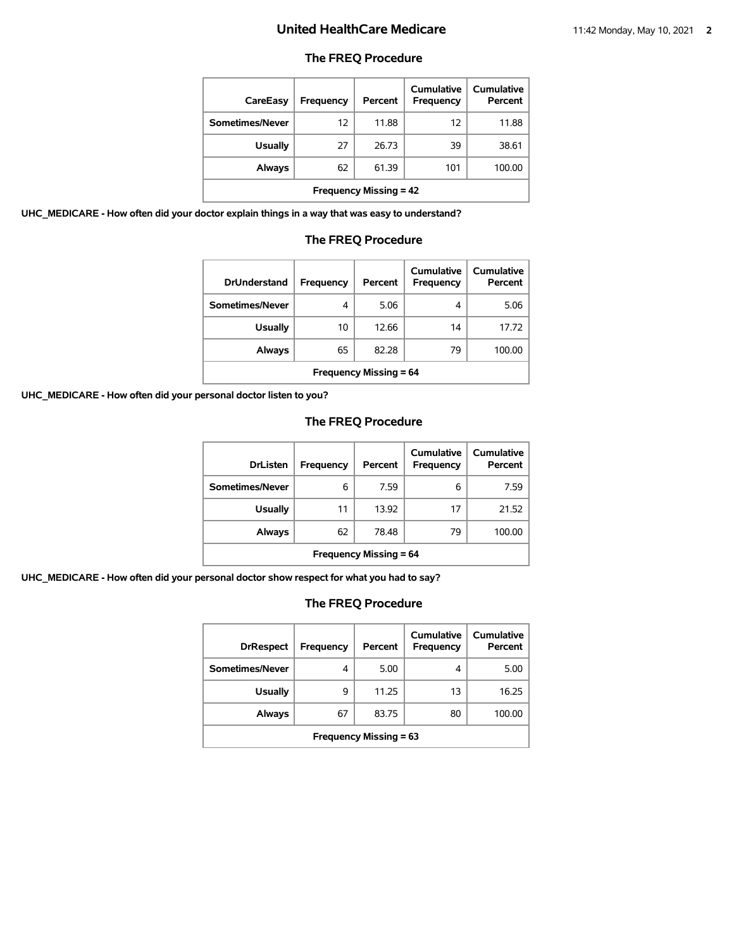# **The FREQ Procedure**

| CareEasy                      | Frequency | Percent | Cumulative<br>Frequency | Cumulative<br>Percent |
|-------------------------------|-----------|---------|-------------------------|-----------------------|
| Sometimes/Never               | 12        | 11.88   | 12                      | 11.88                 |
| <b>Usually</b>                | 27        | 26.73   | 39                      | 38.61                 |
| Always                        | 62        | 61.39   | 101                     | 100.00                |
| <b>Frequency Missing = 42</b> |           |         |                         |                       |

**UHC\_MEDICARE - How often did your doctor explain things in a way that was easy to understand?**

#### **The FREQ Procedure**

| <b>DrUnderstand</b>           | Frequency | Percent | Cumulative<br>Frequency | Cumulative<br>Percent |
|-------------------------------|-----------|---------|-------------------------|-----------------------|
| Sometimes/Never               | 4         | 5.06    | 4                       | 5.06                  |
| <b>Usually</b>                | 10        | 12.66   | 14                      | 17.72                 |
| Always                        | 65        | 82.28   | 79                      | 100.00                |
| <b>Frequency Missing = 64</b> |           |         |                         |                       |

**UHC\_MEDICARE - How often did your personal doctor listen to you?**

# **The FREQ Procedure**

| <b>DrListen</b>               | Frequency | Percent | Cumulative<br>Frequency | Cumulative<br>Percent |
|-------------------------------|-----------|---------|-------------------------|-----------------------|
| Sometimes/Never               | 6         | 7.59    | 6                       | 7.59                  |
| <b>Usually</b>                | 11        | 13.92   | 17                      | 21.52                 |
| Always                        | 62        | 78.48   | 79                      | 100.00                |
| <b>Frequency Missing = 64</b> |           |         |                         |                       |

**UHC\_MEDICARE - How often did your personal doctor show respect for what you had to say?**

| <b>DrRespect</b>              | Frequency | Percent | Cumulative<br>Frequency | <b>Cumulative</b><br>Percent |
|-------------------------------|-----------|---------|-------------------------|------------------------------|
| Sometimes/Never               | 4         | 5.00    | 4                       | 5.00                         |
| <b>Usually</b>                | 9         | 11.25   | 13                      | 16.25                        |
| Always                        | 67        | 83.75   | 80                      | 100.00                       |
| <b>Frequency Missing = 63</b> |           |         |                         |                              |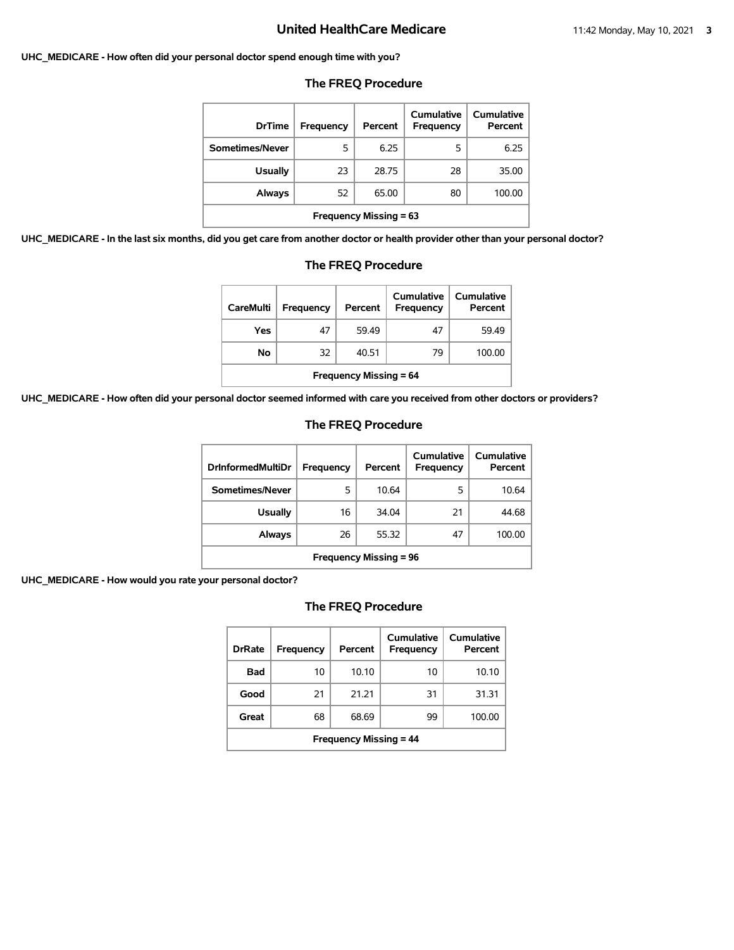#### **UHC\_MEDICARE - How often did your personal doctor spend enough time with you?**

| <b>DrTime</b>                 | Frequency | Percent | Cumulative<br><b>Frequency</b> | Cumulative<br>Percent |
|-------------------------------|-----------|---------|--------------------------------|-----------------------|
| Sometimes/Never               | 5         | 6.25    | 5                              | 6.25                  |
| <b>Usually</b>                | 23        | 28.75   | 28                             | 35.00                 |
| Always                        | 52        | 65.00   | 80                             | 100.00                |
| <b>Frequency Missing = 63</b> |           |         |                                |                       |

#### **The FREQ Procedure**

**UHC\_MEDICARE - In the last six months, did you get care from another doctor or health provider other than your personal doctor?**

| . <i>.</i><br><b>The FREQ Procedure</b> |                  |         |                                |                       |  |
|-----------------------------------------|------------------|---------|--------------------------------|-----------------------|--|
| <b>CareMulti</b>                        | <b>Frequency</b> | Percent | Cumulative<br><b>Frequency</b> | Cumulative<br>Percent |  |
| Yes                                     | 47               | 59.49   | 47                             | 59.49                 |  |
| No                                      | 32               | 40.51   | 79                             | 100.00                |  |
| <b>Frequency Missing = 64</b>           |                  |         |                                |                       |  |

**UHC\_MEDICARE - How often did your personal doctor seemed informed with care you received from other doctors or providers?**

#### **The FREQ Procedure**

| <b>DrinformedMultiDr</b>      | Frequency | Percent | Cumulative<br>Frequency | Cumulative<br>Percent |
|-------------------------------|-----------|---------|-------------------------|-----------------------|
| Sometimes/Never               | 5         | 10.64   | 5                       | 10.64                 |
| <b>Usually</b>                | 16        | 34.04   | 21                      | 44.68                 |
| Always                        | 26        | 55.32   | 47                      | 100.00                |
| <b>Frequency Missing = 96</b> |           |         |                         |                       |

**UHC\_MEDICARE - How would you rate your personal doctor?**

| <b>DrRate</b>                 | Frequency | Percent | Cumulative<br><b>Frequency</b> | <b>Cumulative</b><br>Percent |  |
|-------------------------------|-----------|---------|--------------------------------|------------------------------|--|
| Bad                           | 10        | 10.10   | 10                             | 10.10                        |  |
| Good                          | 21        | 21.21   | 31                             | 31.31                        |  |
| Great                         | 68        | 68.69   | 99                             | 100.00                       |  |
| <b>Frequency Missing = 44</b> |           |         |                                |                              |  |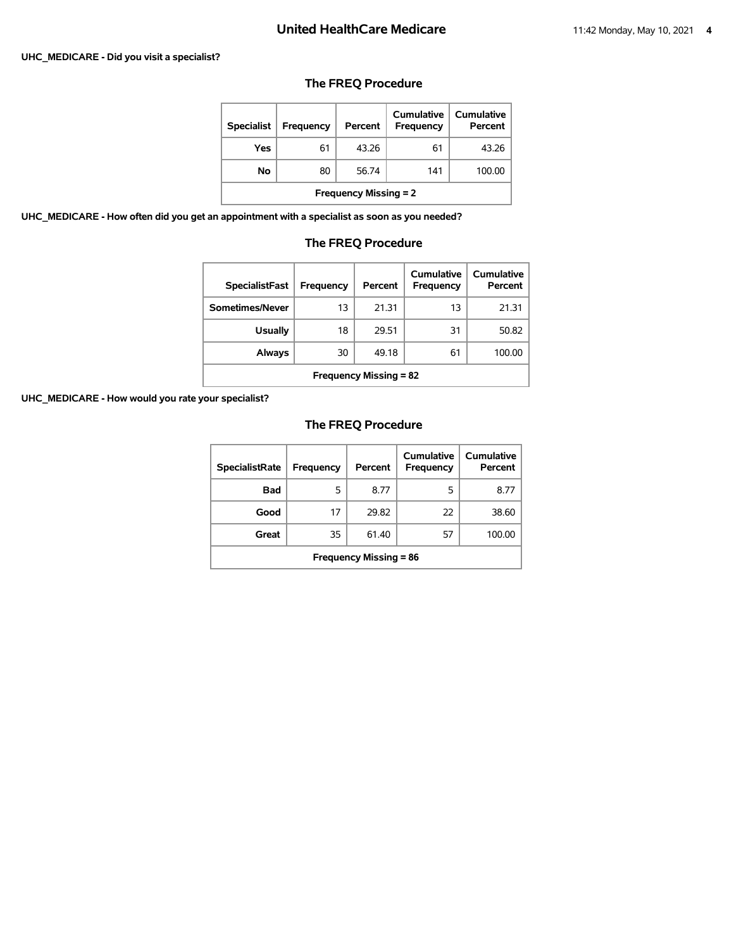#### **UHC\_MEDICARE - Did you visit a specialist?**

# **The FREQ Procedure**

| <b>Specialist</b>            | Frequency | Percent | Cumulative<br><b>Frequency</b> | Cumulative<br>Percent |  |
|------------------------------|-----------|---------|--------------------------------|-----------------------|--|
| Yes                          | 61        | 43.26   | 61                             | 43.26                 |  |
| No                           | 80        | 56.74   | 141                            | 100.00                |  |
| <b>Frequency Missing = 2</b> |           |         |                                |                       |  |

**UHC\_MEDICARE - How often did you get an appointment with a specialist as soon as you needed?**

# **The FREQ Procedure**

| <b>SpecialistFast</b>         | Frequency | Percent | Cumulative<br>Frequency | Cumulative<br>Percent |  |
|-------------------------------|-----------|---------|-------------------------|-----------------------|--|
| Sometimes/Never               | 13        | 21.31   | 13                      | 21.31                 |  |
| <b>Usually</b>                | 18        | 29.51   | 31                      | 50.82                 |  |
| Always                        | 30        | 49.18   | 61                      | 100.00                |  |
| <b>Frequency Missing = 82</b> |           |         |                         |                       |  |

**UHC\_MEDICARE - How would you rate your specialist?**

| <b>SpecialistRate</b>         | Frequency | Percent | Cumulative<br>Frequency | Cumulative<br>Percent |  |
|-------------------------------|-----------|---------|-------------------------|-----------------------|--|
| <b>Bad</b>                    | 5         | 8.77    | 5                       | 8.77                  |  |
| Good                          | 17        | 29.82   | 22                      | 38.60                 |  |
| Great                         | 35        | 61.40   | 57                      | 100.00                |  |
| <b>Frequency Missing = 86</b> |           |         |                         |                       |  |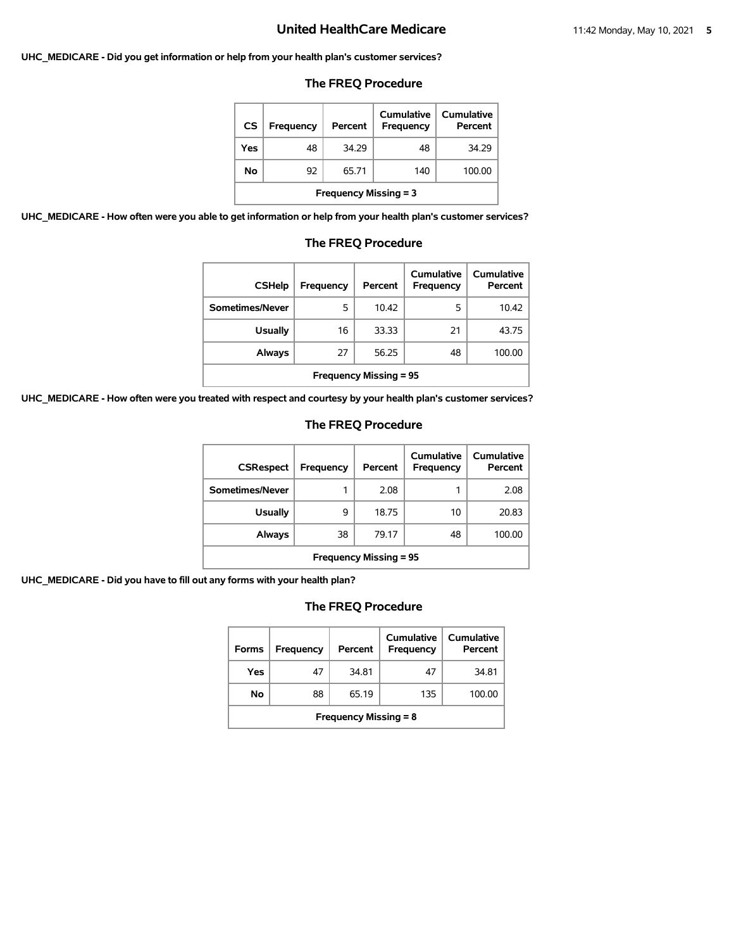#### **UHC\_MEDICARE - Did you get information or help from your health plan's customer services?**

#### **The FREQ Procedure**

| CS                           | Frequency | Percent | Cumulative<br>Frequency | Cumulative<br>Percent |  |
|------------------------------|-----------|---------|-------------------------|-----------------------|--|
| Yes                          | 48        | 34.29   | 48                      | 34.29                 |  |
| No                           | 92        | 65.71   | 140                     | 100.00                |  |
| <b>Frequency Missing = 3</b> |           |         |                         |                       |  |

**UHC\_MEDICARE - How often were you able to get information or help from your health plan's customer services?**

# **The FREQ Procedure**

| <b>CSHelp</b>                 | Frequency | Percent | Cumulative<br>Frequency | Cumulative<br>Percent |  |
|-------------------------------|-----------|---------|-------------------------|-----------------------|--|
| Sometimes/Never               | 5         | 10.42   | 5                       | 10.42                 |  |
| <b>Usually</b>                | 16        | 33.33   | 21                      | 43.75                 |  |
| Always                        | 27        | 56.25   | 48                      | 100.00                |  |
| <b>Frequency Missing = 95</b> |           |         |                         |                       |  |

**UHC\_MEDICARE - How often were you treated with respect and courtesy by your health plan's customer services?**

#### **The FREQ Procedure**

| <b>CSRespect</b>              | Frequency | Percent | Cumulative<br><b>Frequency</b> | Cumulative<br>Percent |  |
|-------------------------------|-----------|---------|--------------------------------|-----------------------|--|
| Sometimes/Never               | 1         | 2.08    |                                | 2.08                  |  |
| <b>Usually</b>                | 9         | 18.75   | 10                             | 20.83                 |  |
| Always                        | 38        | 79.17   | 48                             | 100.00                |  |
| <b>Frequency Missing = 95</b> |           |         |                                |                       |  |

**UHC\_MEDICARE - Did you have to fill out any forms with your health plan?**

| <b>Forms</b>                 | Frequency | Percent | Cumulative<br>Frequency | Cumulative<br>Percent |  |
|------------------------------|-----------|---------|-------------------------|-----------------------|--|
| Yes                          | 47        | 34.81   | 47                      | 34.81                 |  |
| No                           | 88        | 65.19   | 135                     | 100.00                |  |
| <b>Frequency Missing = 8</b> |           |         |                         |                       |  |